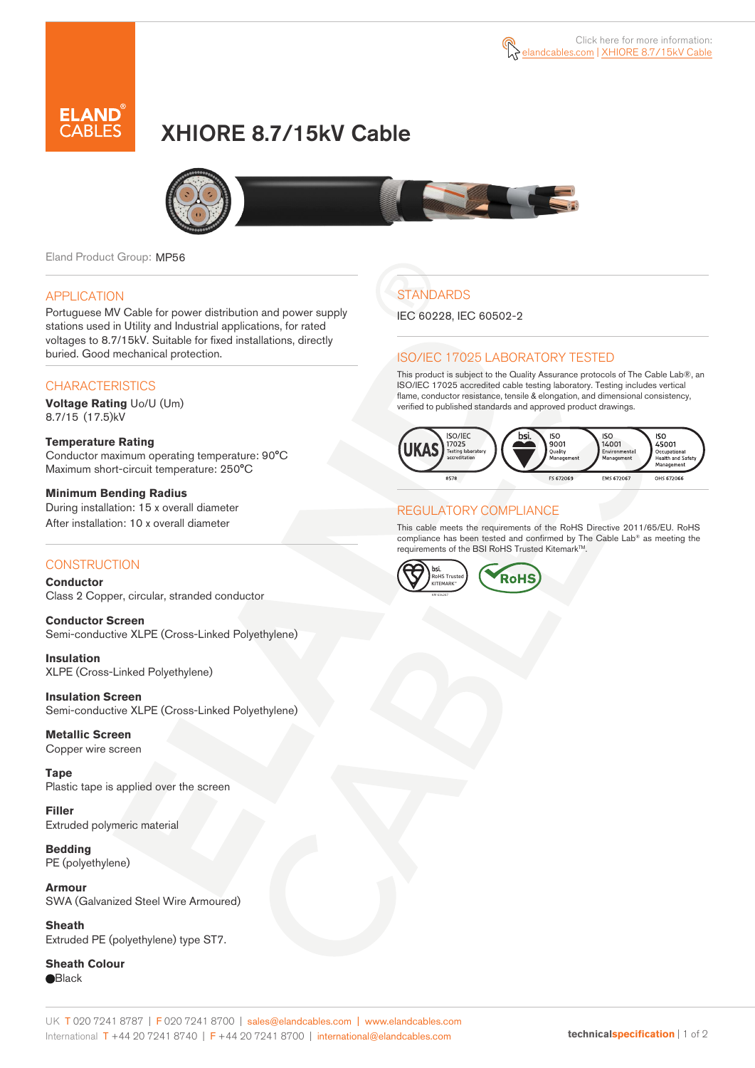

# XHIORE 8.7/15kV Cable



Eland Product Group: MP56

### APPLICATION

Portuguese MV Cable for power distribution and power supply stations used in Utility and Industrial applications, for rated voltages to 8.7/15kV. Suitable for fixed installations, directly buried. Good mechanical protection.

### **CHARACTERISTICS**

**Voltage Rating** Uo/U (Um) 8.7/15 (17.5)kV

#### **Temperature Rating**  Conductor maximum operating temperature: 90°C Maximum short-circuit temperature: 250°C

**Minimum Bending Radius**  During installation: 15 x overall diameter After installation: 10 x overall diameter

### **CONSTRUCTION**

**Conductor**  Class 2 Copper, circular, stranded conductor

**Conductor Screen** Semi-conductive XLPE (Cross-Linked Polyethylene)

**Insulation** XLPE (Cross-Linked Polyethylene)

**Insulation Screen** Semi-conductive XLPE (Cross-Linked Polyethylene)

**Metallic Screen**  Copper wire screen

**Tape**  Plastic tape is applied over the screen

**Filler** Extruded polymeric material

**Bedding** PE (polyethylene)

**Armour** SWA (Galvanized Steel Wire Armoured)

**Sheath** Extruded PE (polyethylene) type ST7.

**Sheath Colour Black** 

## **STANDARDS**

IEC 60228, IEC 60502-2

### ISO/IEC 17025 LABORATORY TESTED

This product is subject to the Quality Assurance protocols of The Cable Lab®, an ISO/IEC 17025 accredited cable testing laboratory. Testing includes vertical flame, conductor resistance, tensile & elongation, and dimensional consistency, verified to published standards and approved product drawings.



### REGULATORY COMPLIANCE

This cable meets the requirements of the RoHS Directive 2011/65/EU. RoHS compliance has been tested and confirmed by The Cable Lab® as meeting the requirements of the BSI RoHS Trusted Kitemark™.